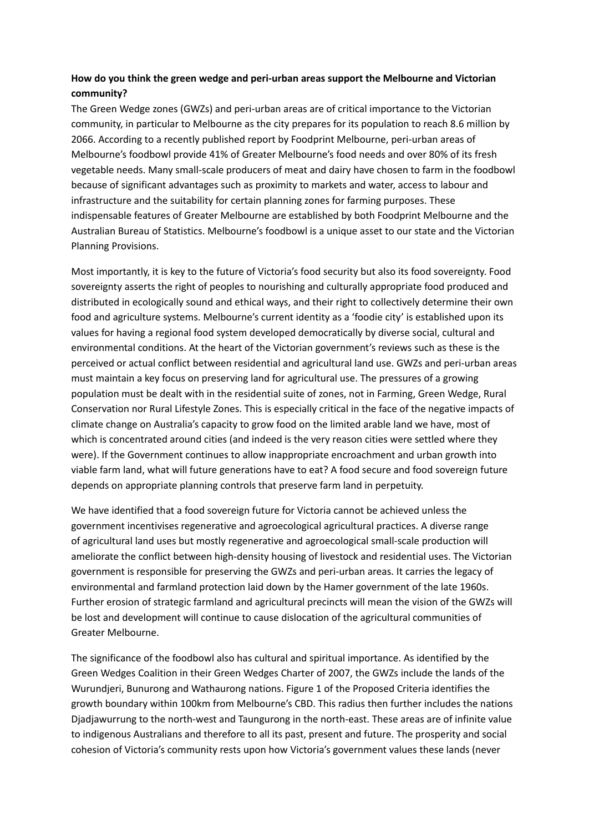# **How do you think the green wedge and peri-urban areas support the Melbourne and Victorian community?**

The Green Wedge zones (GWZs) and peri-urban areas are of critical importance to the Victorian community, in particular to Melbourne as the city prepares for its population to reach 8.6 million by 2066. According to a recently published report by Foodprint Melbourne, peri-urban areas of Melbourne's foodbowl provide 41% of Greater Melbourne's food needs and over 80% of its fresh vegetable needs. Many small-scale producers of meat and dairy have chosen to farm in the foodbowl because of significant advantages such as proximity to markets and water, access to labour and infrastructure and the suitability for certain planning zones for farming purposes. These indispensable features of Greater Melbourne are established by both Foodprint Melbourne and the Australian Bureau of Statistics. Melbourne's foodbowl is a unique asset to our state and the Victorian Planning Provisions.

Most importantly, it is key to the future of Victoria's food security but also its food sovereignty. Food sovereignty asserts the right of peoples to nourishing and culturally appropriate food produced and distributed in ecologically sound and ethical ways, and their right to collectively determine their own food and agriculture systems. Melbourne's current identity as a 'foodie city' is established upon its values for having a regional food system developed democratically by diverse social, cultural and environmental conditions. At the heart of the Victorian government's reviews such as these is the perceived or actual conflict between residential and agricultural land use. GWZs and peri-urban areas must maintain a key focus on preserving land for agricultural use. The pressures of a growing population must be dealt with in the residential suite of zones, not in Farming, Green Wedge, Rural Conservation nor Rural Lifestyle Zones. This is especially critical in the face of the negative impacts of climate change on Australia's capacity to grow food on the limited arable land we have, most of which is concentrated around cities (and indeed is the very reason cities were settled where they were). If the Government continues to allow inappropriate encroachment and urban growth into viable farm land, what will future generations have to eat? A food secure and food sovereign future depends on appropriate planning controls that preserve farm land in perpetuity.

We have identified that a food sovereign future for Victoria cannot be achieved unless the government incentivises regenerative and agroecological agricultural practices. A diverse range of agricultural land uses but mostly regenerative and agroecological small-scale production will ameliorate the conflict between high-density housing of livestock and residential uses. The Victorian government is responsible for preserving the GWZs and peri-urban areas. It carries the legacy of environmental and farmland protection laid down by the Hamer government of the late 1960s. Further erosion of strategic farmland and agricultural precincts will mean the vision of the GWZs will be lost and development will continue to cause dislocation of the agricultural communities of Greater Melbourne.

The significance of the foodbowl also has cultural and spiritual importance. As identified by the Green Wedges Coalition in their Green Wedges Charter of 2007, the GWZs include the lands of the Wurundjeri, Bunurong and Wathaurong nations. Figure 1 of the Proposed Criteria identifies the growth boundary within 100km from Melbourne's CBD. This radius then further includes the nations Djadjawurrung to the north-west and Taungurong in the north-east. These areas are of infinite value to indigenous Australians and therefore to all its past, present and future. The prosperity and social cohesion of Victoria's community rests upon how Victoria's government values these lands (never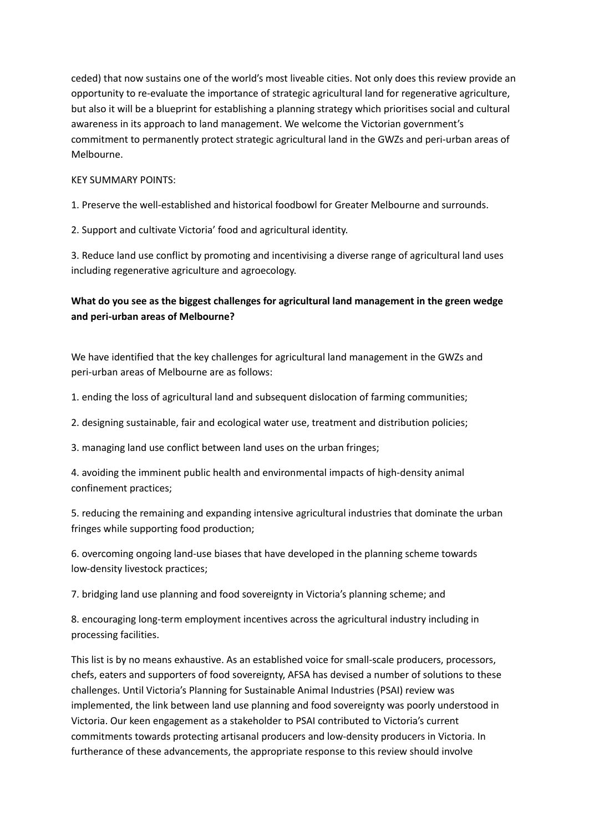ceded) that now sustains one of the world's most liveable cities. Not only does this review provide an opportunity to re-evaluate the importance of strategic agricultural land for regenerative agriculture, but also it will be a blueprint for establishing a planning strategy which prioritises social and cultural awareness in its approach to land management. We welcome the Victorian government's commitment to permanently protect strategic agricultural land in the GWZs and peri-urban areas of Melbourne.

#### KEY SUMMARY POINTS:

1. Preserve the well-established and historical foodbowl for Greater Melbourne and surrounds.

2. Support and cultivate Victoria' food and agricultural identity.

3. Reduce land use conflict by promoting and incentivising a diverse range of agricultural land uses including regenerative agriculture and agroecology.

## **What do you see as the biggest challenges for agricultural land management in the green wedge and peri-urban areas of Melbourne?**

We have identified that the key challenges for agricultural land management in the GWZs and peri-urban areas of Melbourne are as follows:

1. ending the loss of agricultural land and subsequent dislocation of farming communities;

2. designing sustainable, fair and ecological water use, treatment and distribution policies;

3. managing land use conflict between land uses on the urban fringes;

4. avoiding the imminent public health and environmental impacts of high-density animal confinement practices;

5. reducing the remaining and expanding intensive agricultural industries that dominate the urban fringes while supporting food production;

6. overcoming ongoing land-use biases that have developed in the planning scheme towards low-density livestock practices;

7. bridging land use planning and food sovereignty in Victoria's planning scheme; and

8. encouraging long-term employment incentives across the agricultural industry including in processing facilities.

This list is by no means exhaustive. As an established voice for small-scale producers, processors, chefs, eaters and supporters of food sovereignty, AFSA has devised a number of solutions to these challenges. Until Victoria's Planning for Sustainable Animal Industries (PSAI) review was implemented, the link between land use planning and food sovereignty was poorly understood in Victoria. Our keen engagement as a stakeholder to PSAI contributed to Victoria's current commitments towards protecting artisanal producers and low-density producers in Victoria. In furtherance of these advancements, the appropriate response to this review should involve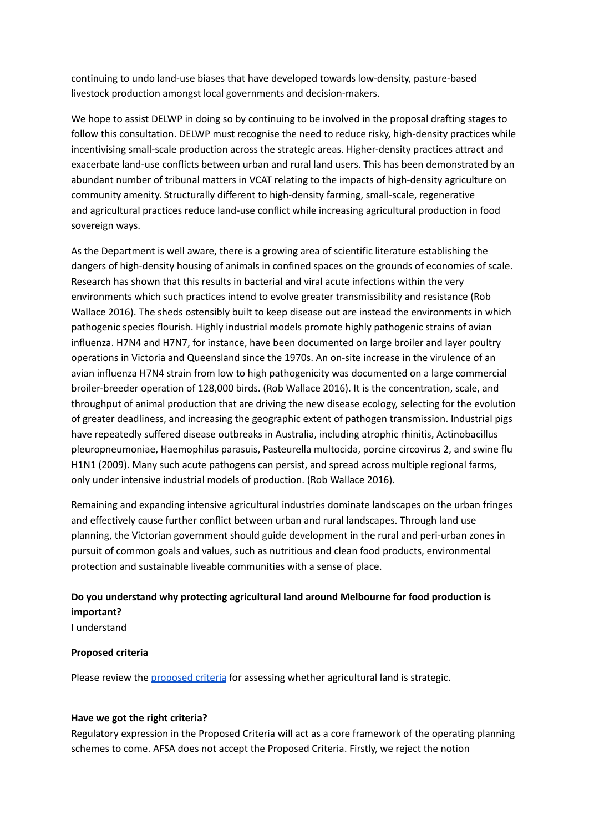continuing to undo land-use biases that have developed towards low-density, pasture-based livestock production amongst local governments and decision-makers.

We hope to assist DELWP in doing so by continuing to be involved in the proposal drafting stages to follow this consultation. DELWP must recognise the need to reduce risky, high-density practices while incentivising small-scale production across the strategic areas. Higher-density practices attract and exacerbate land-use conflicts between urban and rural land users. This has been demonstrated by an abundant number of tribunal matters in VCAT relating to the impacts of high-density agriculture on community amenity. Structurally different to high-density farming, small-scale, regenerative and agricultural practices reduce land-use conflict while increasing agricultural production in food sovereign ways.

As the Department is well aware, there is a growing area of scientific literature establishing the dangers of high-density housing of animals in confined spaces on the grounds of economies of scale. Research has shown that this results in bacterial and viral acute infections within the very environments which such practices intend to evolve greater transmissibility and resistance (Rob Wallace 2016). The sheds ostensibly built to keep disease out are instead the environments in which pathogenic species flourish. Highly industrial models promote highly pathogenic strains of avian influenza. H7N4 and H7N7, for instance, have been documented on large broiler and layer poultry operations in Victoria and Queensland since the 1970s. An on-site increase in the virulence of an avian influenza H7N4 strain from low to high pathogenicity was documented on a large commercial broiler-breeder operation of 128,000 birds. (Rob Wallace 2016). It is the concentration, scale, and throughput of animal production that are driving the new disease ecology, selecting for the evolution of greater deadliness, and increasing the geographic extent of pathogen transmission. Industrial pigs have repeatedly suffered disease outbreaks in Australia, including atrophic rhinitis, Actinobacillus pleuropneumoniae, Haemophilus parasuis, Pasteurella multocida, porcine circovirus 2, and swine flu H1N1 (2009). Many such acute pathogens can persist, and spread across multiple regional farms, only under intensive industrial models of production. (Rob Wallace 2016).

Remaining and expanding intensive agricultural industries dominate landscapes on the urban fringes and effectively cause further conflict between urban and rural landscapes. Through land use planning, the Victorian government should guide development in the rural and peri-urban zones in pursuit of common goals and values, such as nutritious and clean food products, environmental protection and sustainable liveable communities with a sense of place.

# **Do you understand why protecting agricultural land around Melbourne for food production is important?**

I understand

## **Proposed criteria**

Please review the [proposed](https://api.harvestdp.com/mailer/proxy/forward?authtoken=eyJ0eXAiOiJKV1QiLCJhbGciOiJIUzI1NiJ9.eyJlbmNyeXB0ZWQiOiJqenVObzZ4dUpEVXc2ODJQakZ2VnMyQjY4TTVzTjFNVnhnRERrSjlMb0lyNFwvK1l3WlRjd1ZQYmVaS0ZiMlRTUlRQQ3FDbDl6NDZrbUVGXC9VOUdiYWR3YU5UTzNBOFwvU0NTTlRYZjBOZ1FYNFllVnNNRTRmUVRxWUNEbnA1TXI1dE5VWTJEdzRFcGVaTndyYW9xa0w2dkF6UDNsTnptY2hrSlErWjhcLzlKSlhJRitiRmE5Z1ZQdXJTQUJFVW50bjI5YVZhOHlkSytaNlRTbVRtN1ZWeUFxQjh2V21jNHA2U0ZVSFhIWEpmUVBLMjRLQ0ZHMDAyM0VlR2lQcU45cThIenY0a2FDcFZ6bDhDeGN2bTZCUW1wRXBIMTRtZzFCb1wvOFhEMGN2KzlaZDdIa0JaQWVRajM0VExzMFpHeUtUaGttanZOVmVUV3J4M0doRllKWnA5MzFzQT09In0.Qa6CbTViqnzr2A9F9vKdaznt1LzrrkTgSJT_J4BUHio) criteria for assessing whether agricultural land is strategic.

## **Have we got the right criteria?**

Regulatory expression in the Proposed Criteria will act as a core framework of the operating planning schemes to come. AFSA does not accept the Proposed Criteria. Firstly, we reject the notion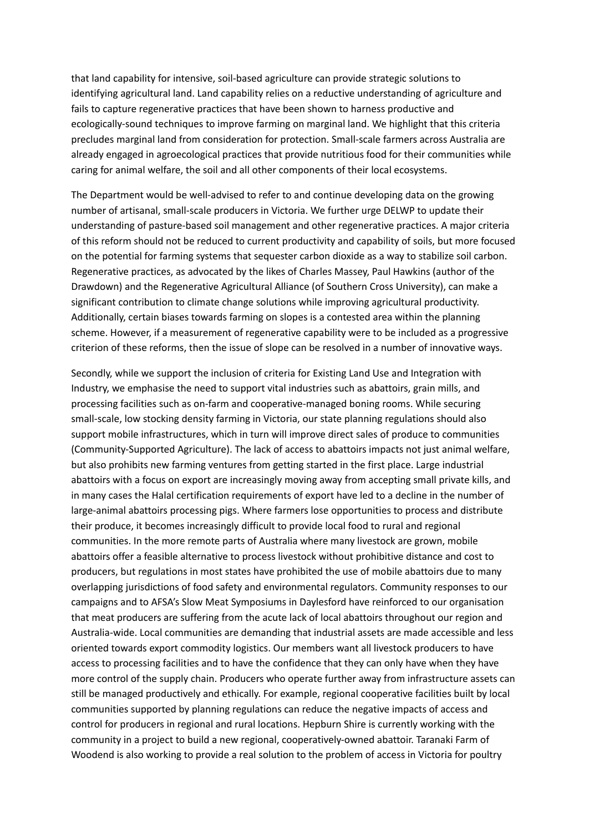that land capability for intensive, soil-based agriculture can provide strategic solutions to identifying agricultural land. Land capability relies on a reductive understanding of agriculture and fails to capture regenerative practices that have been shown to harness productive and ecologically-sound techniques to improve farming on marginal land. We highlight that this criteria precludes marginal land from consideration for protection. Small-scale farmers across Australia are already engaged in agroecological practices that provide nutritious food for their communities while caring for animal welfare, the soil and all other components of their local ecosystems.

The Department would be well-advised to refer to and continue developing data on the growing number of artisanal, small-scale producers in Victoria. We further urge DELWP to update their understanding of pasture-based soil management and other regenerative practices. A major criteria of this reform should not be reduced to current productivity and capability of soils, but more focused on the potential for farming systems that sequester carbon dioxide as a way to stabilize soil carbon. Regenerative practices, as advocated by the likes of Charles Massey, Paul Hawkins (author of the Drawdown) and the Regenerative Agricultural Alliance (of Southern Cross University), can make a significant contribution to climate change solutions while improving agricultural productivity. Additionally, certain biases towards farming on slopes is a contested area within the planning scheme. However, if a measurement of regenerative capability were to be included as a progressive criterion of these reforms, then the issue of slope can be resolved in a number of innovative ways.

Secondly, while we support the inclusion of criteria for Existing Land Use and Integration with Industry, we emphasise the need to support vital industries such as abattoirs, grain mills, and processing facilities such as on-farm and cooperative-managed boning rooms. While securing small-scale, low stocking density farming in Victoria, our state planning regulations should also support mobile infrastructures, which in turn will improve direct sales of produce to communities (Community-Supported Agriculture). The lack of access to abattoirs impacts not just animal welfare, but also prohibits new farming ventures from getting started in the first place. Large industrial abattoirs with a focus on export are increasingly moving away from accepting small private kills, and in many cases the Halal certification requirements of export have led to a decline in the number of large-animal abattoirs processing pigs. Where farmers lose opportunities to process and distribute their produce, it becomes increasingly difficult to provide local food to rural and regional communities. In the more remote parts of Australia where many livestock are grown, mobile abattoirs offer a feasible alternative to process livestock without prohibitive distance and cost to producers, but regulations in most states have prohibited the use of mobile abattoirs due to many overlapping jurisdictions of food safety and environmental regulators. Community responses to our campaigns and to AFSA's Slow Meat Symposiums in Daylesford have reinforced to our organisation that meat producers are suffering from the acute lack of local abattoirs throughout our region and Australia-wide. Local communities are demanding that industrial assets are made accessible and less oriented towards export commodity logistics. Our members want all livestock producers to have access to processing facilities and to have the confidence that they can only have when they have more control of the supply chain. Producers who operate further away from infrastructure assets can still be managed productively and ethically. For example, regional cooperative facilities built by local communities supported by planning regulations can reduce the negative impacts of access and control for producers in regional and rural locations. Hepburn Shire is currently working with the community in a project to build a new regional, cooperatively-owned abattoir. Taranaki Farm of Woodend is also working to provide a real solution to the problem of access in Victoria for poultry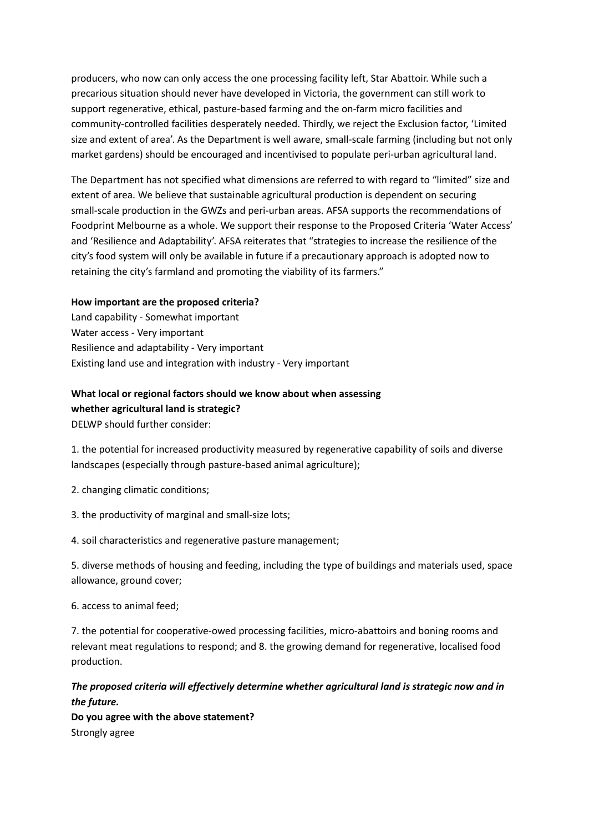producers, who now can only access the one processing facility left, Star Abattoir. While such a precarious situation should never have developed in Victoria, the government can still work to support regenerative, ethical, pasture-based farming and the on-farm micro facilities and community-controlled facilities desperately needed. Thirdly, we reject the Exclusion factor, 'Limited size and extent of area'. As the Department is well aware, small-scale farming (including but not only market gardens) should be encouraged and incentivised to populate peri-urban agricultural land.

The Department has not specified what dimensions are referred to with regard to "limited" size and extent of area. We believe that sustainable agricultural production is dependent on securing small-scale production in the GWZs and peri-urban areas. AFSA supports the recommendations of Foodprint Melbourne as a whole. We support their response to the Proposed Criteria 'Water Access' and 'Resilience and Adaptability'. AFSA reiterates that "strategies to increase the resilience of the city's food system will only be available in future if a precautionary approach is adopted now to retaining the city's farmland and promoting the viability of its farmers."

## **How important are the proposed criteria?**

Land capability - Somewhat important Water access - Very important Resilience and adaptability - Very important Existing land use and integration with industry - Very important

## **What local or regional factors should we know about when assessing whether agricultural land is strategic?**

DELWP should further consider:

1. the potential for increased productivity measured by regenerative capability of soils and diverse landscapes (especially through pasture-based animal agriculture);

2. changing climatic conditions;

3. the productivity of marginal and small-size lots;

4. soil characteristics and regenerative pasture management;

5. diverse methods of housing and feeding, including the type of buildings and materials used, space allowance, ground cover;

6. access to animal feed;

7. the potential for cooperative-owed processing facilities, micro-abattoirs and boning rooms and relevant meat regulations to respond; and 8. the growing demand for regenerative, localised food production.

# *The proposed criteria will effectively determine whether agricultural land is strategic now and in the future.*

**Do you agree with the above statement?** Strongly agree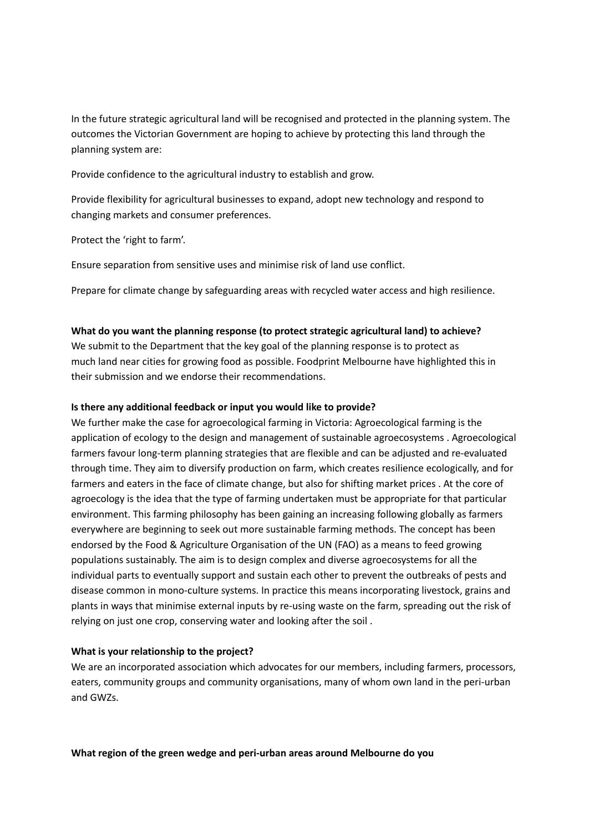In the future strategic agricultural land will be recognised and protected in the planning system. The outcomes the Victorian Government are hoping to achieve by protecting this land through the planning system are:

Provide confidence to the agricultural industry to establish and grow.

Provide flexibility for agricultural businesses to expand, adopt new technology and respond to changing markets and consumer preferences.

Protect the 'right to farm'.

Ensure separation from sensitive uses and minimise risk of land use conflict.

Prepare for climate change by safeguarding areas with recycled water access and high resilience.

## **What do you want the planning response (to protect strategic agricultural land) to achieve?**

We submit to the Department that the key goal of the planning response is to protect as much land near cities for growing food as possible. Foodprint Melbourne have highlighted this in their submission and we endorse their recommendations.

#### **Is there any additional feedback or input you would like to provide?**

We further make the case for agroecological farming in Victoria: Agroecological farming is the application of ecology to the design and management of sustainable agroecosystems . Agroecological farmers favour long-term planning strategies that are flexible and can be adjusted and re-evaluated through time. They aim to diversify production on farm, which creates resilience ecologically, and for farmers and eaters in the face of climate change, but also for shifting market prices . At the core of agroecology is the idea that the type of farming undertaken must be appropriate for that particular environment. This farming philosophy has been gaining an increasing following globally as farmers everywhere are beginning to seek out more sustainable farming methods. The concept has been endorsed by the Food & Agriculture Organisation of the UN (FAO) as a means to feed growing populations sustainably. The aim is to design complex and diverse agroecosystems for all the individual parts to eventually support and sustain each other to prevent the outbreaks of pests and disease common in mono-culture systems. In practice this means incorporating livestock, grains and plants in ways that minimise external inputs by re-using waste on the farm, spreading out the risk of relying on just one crop, conserving water and looking after the soil .

## **What is your relationship to the project?**

We are an incorporated association which advocates for our members, including farmers, processors, eaters, community groups and community organisations, many of whom own land in the peri-urban and GWZs.